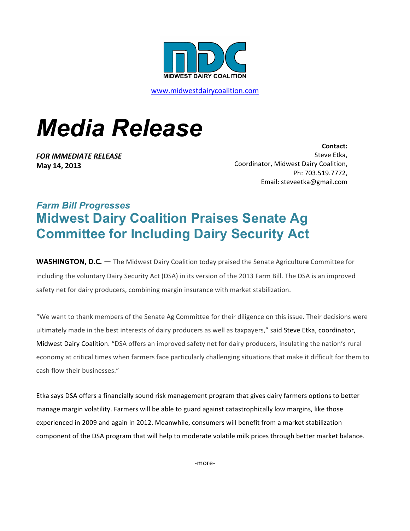

www.midwestdairycoalition.com

## *Media Release*

*FOR IMMEDIATE RELEASE* **May 14, 2013**

**Contact:**  Steve Etka, Coordinator, Midwest Dairy Coalition, Ph: 703.519.7772, Email: steveetka@gmail.com

## *Farm Bill Progresses* **Midwest Dairy Coalition Praises Senate Ag Committee for Including Dairy Security Act**

**WASHINGTON, D.C.** — The Midwest Dairy Coalition today praised the Senate Agriculture Committee for including the voluntary Dairy Security Act (DSA) in its version of the 2013 Farm Bill. The DSA is an improved safety net for dairy producers, combining margin insurance with market stabilization.

"We want to thank members of the Senate Ag Committee for their diligence on this issue. Their decisions were ultimately made in the best interests of dairy producers as well as taxpayers," said Steve Etka, coordinator, Midwest Dairy Coalition. "DSA offers an improved safety net for dairy producers, insulating the nation's rural economy at critical times when farmers face particularly challenging situations that make it difficult for them to cash flow their businesses."

Etka says DSA offers a financially sound risk management program that gives dairy farmers options to better manage margin volatility. Farmers will be able to guard against catastrophically low margins, like those experienced in 2009 and again in 2012. Meanwhile, consumers will benefit from a market stabilization component of the DSA program that will help to moderate volatile milk prices through better market balance.

-more-